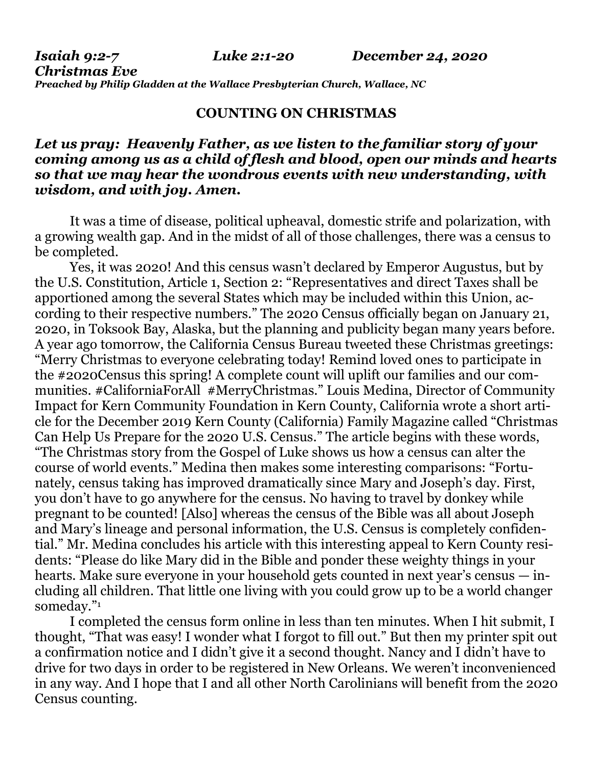*Christmas Eve Preached by Philip Gladden at the Wallace Presbyterian Church, Wallace, NC*

## **COUNTING ON CHRISTMAS**

## *Let us pray: Heavenly Father, as we listen to the familiar story of your coming among us as a child of flesh and blood, open our minds and hearts so that we may hear the wondrous events with new understanding, with wisdom, and with joy. Amen.*

It was a time of disease, political upheaval, domestic strife and polarization, with a growing wealth gap. And in the midst of all of those challenges, there was a census to be completed.

Yes, it was 2020! And this census wasn't declared by Emperor Augustus, but by the U.S. Constitution, Article 1, Section 2: "Representatives and direct Taxes shall be apportioned among the several States which may be included within this Union, according to their respective numbers." The 2020 Census officially began on January 21, 2020, in Toksook Bay, Alaska, but the planning and publicity began many years before. A year ago tomorrow, the California Census Bureau tweeted these Christmas greetings: "Merry Christmas to everyone celebrating today! Remind loved ones to participate in the #2020Census this spring! A complete count will uplift our families and our communities. #CaliforniaForAll #MerryChristmas." Louis Medina, Director of Community Impact for Kern Community Foundation in Kern County, California wrote a short article for the December 2019 Kern County (California) Family Magazine called "Christmas Can Help Us Prepare for the 2020 U.S. Census." The article begins with these words, "The Christmas story from the Gospel of Luke shows us how a census can alter the course of world events." Medina then makes some interesting comparisons: "Fortunately, census taking has improved dramatically since Mary and Joseph's day. First, you don't have to go anywhere for the census. No having to travel by donkey while pregnant to be counted! [Also] whereas the census of the Bible was all about Joseph and Mary's lineage and personal information, the U.S. Census is completely confidential." Mr. Medina concludes his article with this interesting appeal to Kern County residents: "Please do like Mary did in the Bible and ponder these weighty things in your hearts. Make sure everyone in your household gets counted in next year's census — including all children. That little one living with you could grow up to be a world changer someday."<sup>1</sup>

I completed the census form online in less than ten minutes. When I hit submit, I thought, "That was easy! I wonder what I forgot to fill out." But then my printer spit out a confirmation notice and I didn't give it a second thought. Nancy and I didn't have to drive for two days in order to be registered in New Orleans. We weren't inconvenienced in any way. And I hope that I and all other North Carolinians will benefit from the 2020 Census counting.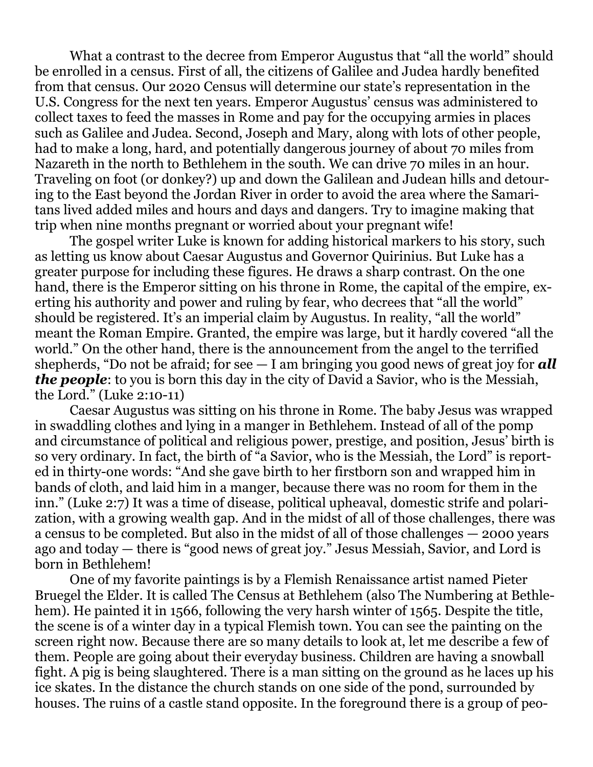What a contrast to the decree from Emperor Augustus that "all the world" should be enrolled in a census. First of all, the citizens of Galilee and Judea hardly benefited from that census. Our 2020 Census will determine our state's representation in the U.S. Congress for the next ten years. Emperor Augustus' census was administered to collect taxes to feed the masses in Rome and pay for the occupying armies in places such as Galilee and Judea. Second, Joseph and Mary, along with lots of other people, had to make a long, hard, and potentially dangerous journey of about 70 miles from Nazareth in the north to Bethlehem in the south. We can drive 70 miles in an hour. Traveling on foot (or donkey?) up and down the Galilean and Judean hills and detouring to the East beyond the Jordan River in order to avoid the area where the Samaritans lived added miles and hours and days and dangers. Try to imagine making that trip when nine months pregnant or worried about your pregnant wife!

The gospel writer Luke is known for adding historical markers to his story, such as letting us know about Caesar Augustus and Governor Quirinius. But Luke has a greater purpose for including these figures. He draws a sharp contrast. On the one hand, there is the Emperor sitting on his throne in Rome, the capital of the empire, exerting his authority and power and ruling by fear, who decrees that "all the world" should be registered. It's an imperial claim by Augustus. In reality, "all the world" meant the Roman Empire. Granted, the empire was large, but it hardly covered "all the world." On the other hand, there is the announcement from the angel to the terrified shepherds, "Do not be afraid; for see — I am bringing you good news of great joy for *all the people*: to you is born this day in the city of David a Savior, who is the Messiah, the Lord." (Luke 2:10-11)

Caesar Augustus was sitting on his throne in Rome. The baby Jesus was wrapped in swaddling clothes and lying in a manger in Bethlehem. Instead of all of the pomp and circumstance of political and religious power, prestige, and position, Jesus' birth is so very ordinary. In fact, the birth of "a Savior, who is the Messiah, the Lord" is reported in thirty-one words: "And she gave birth to her firstborn son and wrapped him in bands of cloth, and laid him in a manger, because there was no room for them in the inn." (Luke 2:7) It was a time of disease, political upheaval, domestic strife and polarization, with a growing wealth gap. And in the midst of all of those challenges, there was a census to be completed. But also in the midst of all of those challenges — 2000 years ago and today — there is "good news of great joy." Jesus Messiah, Savior, and Lord is born in Bethlehem!

One of my favorite paintings is by a Flemish Renaissance artist named Pieter Bruegel the Elder. It is called The Census at Bethlehem (also The Numbering at Bethlehem). He painted it in 1566, following the very harsh winter of 1565. Despite the title, the scene is of a winter day in a typical Flemish town. You can see the painting on the screen right now. Because there are so many details to look at, let me describe a few of them. People are going about their everyday business. Children are having a snowball fight. A pig is being slaughtered. There is a man sitting on the ground as he laces up his ice skates. In the distance the church stands on one side of the pond, surrounded by houses. The ruins of a castle stand opposite. In the foreground there is a group of peo-